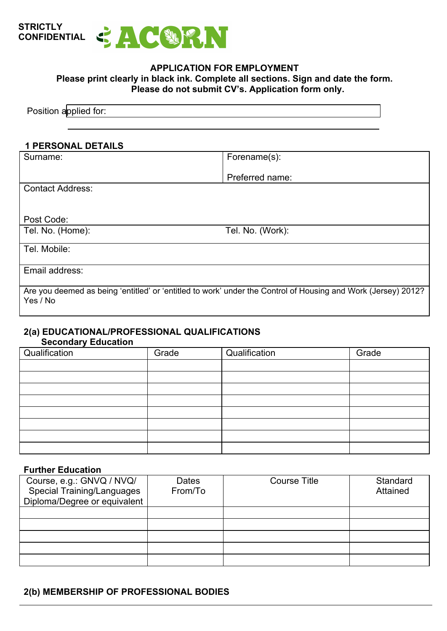

## **APPLICATION FOR EMPLOYMENT Please print clearly in black ink. Complete all sections. Sign and date the form. Please do not submit CV's. Application form only.**

## **1 PERSONAL DETAILS**

| Surname:                | Forename(s):                                                                                                  |
|-------------------------|---------------------------------------------------------------------------------------------------------------|
|                         | Preferred name:                                                                                               |
| <b>Contact Address:</b> |                                                                                                               |
|                         |                                                                                                               |
| Post Code:              |                                                                                                               |
| Tel. No. (Home):        | Tel. No. (Work):                                                                                              |
| Tel. Mobile:            |                                                                                                               |
| Email address:          |                                                                                                               |
| Yes / No                | Are you deemed as being 'entitled' or 'entitled to work' under the Control of Housing and Work (Jersey) 2012? |

### **2(a) EDUCATIONAL/PROFESSIONAL QUALIFICATIONS Secondary Education**

| Qualification | Grade | Qualification | Grade |
|---------------|-------|---------------|-------|
|               |       |               |       |
|               |       |               |       |
|               |       |               |       |
|               |       |               |       |
|               |       |               |       |
|               |       |               |       |
|               |       |               |       |
|               |       |               |       |
|               |       |               |       |
|               |       |               |       |
|               |       |               |       |
|               |       |               |       |

### **Further Education**

| Course, e.g.: GNVQ / NVQ/<br><b>Special Training/Languages</b><br>Diploma/Degree or equivalent | Dates<br>From/To | <b>Course Title</b> | Standard<br>Attained |
|------------------------------------------------------------------------------------------------|------------------|---------------------|----------------------|
|                                                                                                |                  |                     |                      |
|                                                                                                |                  |                     |                      |
|                                                                                                |                  |                     |                      |
|                                                                                                |                  |                     |                      |
|                                                                                                |                  |                     |                      |

## **2(b) MEMBERSHIP OF PROFESSIONAL BODIES**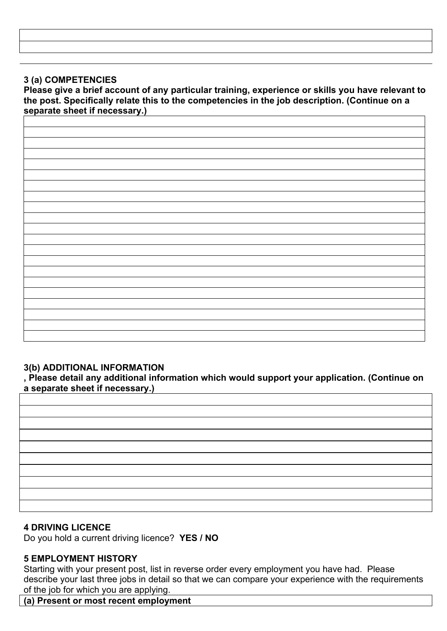# **3 (a) COMPETENCIES**

**Please give a brief account of any particular training, experience or skills you have relevant to the post. Specifically relate this to the competencies in the job description. (Continue on a separate sheet if necessary.)** 

## **3(b) ADDITIONAL INFORMATION**

**, Please detail any additional information which would support your application. (Continue on a separate sheet if necessary.)** 

# **4 DRIVING LICENCE**

Do you hold a current driving licence? **YES / NO** 

# **5 EMPLOYMENT HISTORY**

Starting with your present post, list in reverse order every employment you have had. Please describe your last three jobs in detail so that we can compare your experience with the requirements of the job for which you are applying.

**(a) Present or most recent employment**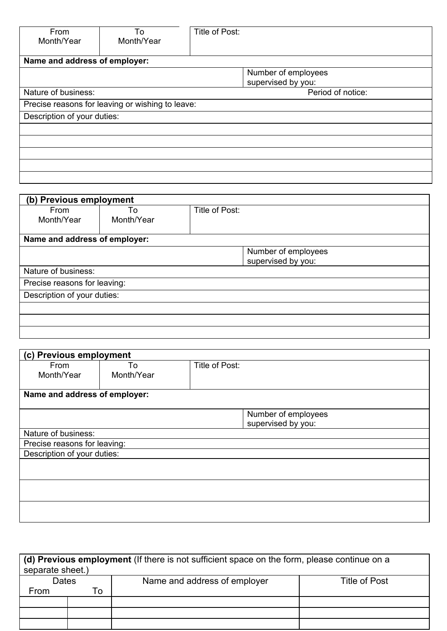| From<br>Month/Year            | To<br>Month/Year                                 | Title of Post:                            |  |  |
|-------------------------------|--------------------------------------------------|-------------------------------------------|--|--|
| Name and address of employer: |                                                  |                                           |  |  |
|                               |                                                  | Number of employees<br>supervised by you: |  |  |
| Nature of business:           |                                                  | Period of notice:                         |  |  |
|                               | Precise reasons for leaving or wishing to leave: |                                           |  |  |
| Description of your duties:   |                                                  |                                           |  |  |
|                               |                                                  |                                           |  |  |
|                               |                                                  |                                           |  |  |
|                               |                                                  |                                           |  |  |
|                               |                                                  |                                           |  |  |
|                               |                                                  |                                           |  |  |

| (b) Previous employment       |                  |                |                     |  |
|-------------------------------|------------------|----------------|---------------------|--|
| From<br>Month/Year            | To<br>Month/Year | Title of Post: |                     |  |
|                               |                  |                |                     |  |
| Name and address of employer: |                  |                |                     |  |
|                               |                  |                | Number of employees |  |
|                               |                  |                | supervised by you:  |  |
| Nature of business:           |                  |                |                     |  |
| Precise reasons for leaving:  |                  |                |                     |  |
| Description of your duties:   |                  |                |                     |  |
|                               |                  |                |                     |  |
|                               |                  |                |                     |  |
|                               |                  |                |                     |  |

| From                          | To         | Title of Post:      |  |
|-------------------------------|------------|---------------------|--|
| Month/Year                    | Month/Year |                     |  |
| Name and address of employer: |            |                     |  |
|                               |            | Number of employees |  |
|                               |            | supervised by you:  |  |
| Nature of business:           |            |                     |  |
| Precise reasons for leaving:  |            |                     |  |
| Description of your duties:   |            |                     |  |
|                               |            |                     |  |
|                               |            |                     |  |
|                               |            |                     |  |
|                               |            |                     |  |
|                               |            |                     |  |

| (d) Previous employment (If there is not sufficient space on the form, please continue on a<br>separate sheet.) |    |                              |               |
|-----------------------------------------------------------------------------------------------------------------|----|------------------------------|---------------|
| Dates                                                                                                           |    | Name and address of employer | Title of Post |
| From                                                                                                            | Го |                              |               |
|                                                                                                                 |    |                              |               |
|                                                                                                                 |    |                              |               |
|                                                                                                                 |    |                              |               |